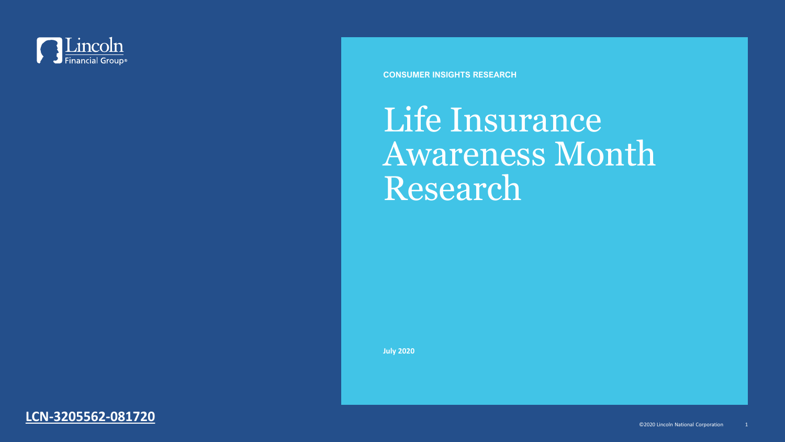

**CONSUMER INSIGHTS RESEARCH**

# Life Insurance Awareness Month Research

**July 2020**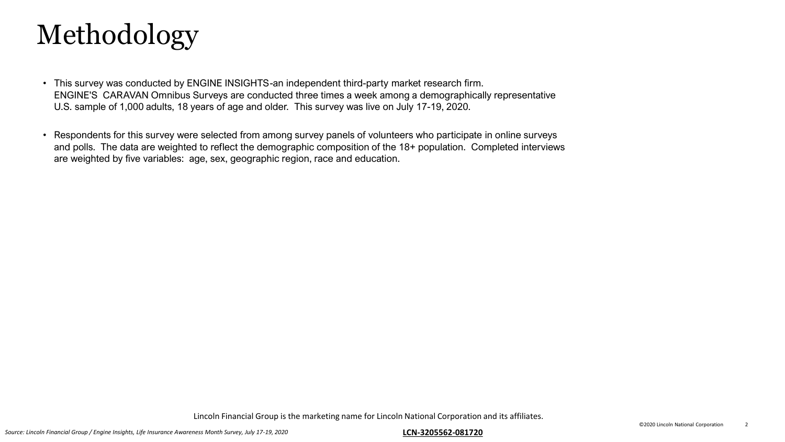

- This survey was conducted by ENGINE INSIGHTS-an independent third-party market research firm. ENGINE'S CARAVAN Omnibus Surveys are conducted three times a week among a demographically representative U.S. sample of 1,000 adults, 18 years of age and older. This survey was live on July 17-19, 2020.
- Respondents for this survey were selected from among survey panels of volunteers who participate in online surveys and polls. The data are weighted to reflect the demographic composition of the 18+ population. Completed interviews are weighted by five variables: age, sex, geographic region, race and education.

Lincoln Financial Group is the marketing name for Lincoln National Corporation and its affiliates.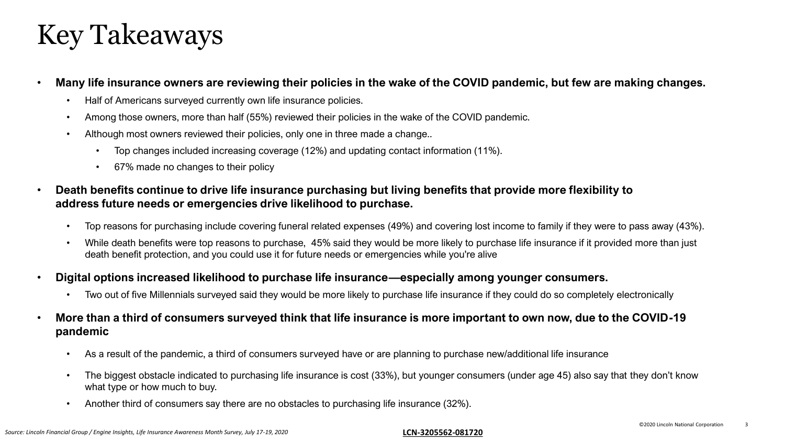### Key Takeaways

### • **Many life insurance owners are reviewing their policies in the wake of the COVID pandemic, but few are making changes.**

- Half of Americans surveyed currently own life insurance policies.
- Among those owners, more than half (55%) reviewed their policies in the wake of the COVID pandemic.
- Although most owners reviewed their policies, only one in three made a change..
	- Top changes included increasing coverage (12%) and updating contact information (11%).
	- 67% made no changes to their policy
- **Death benefits continue to drive life insurance purchasing but living benefits that provide more flexibility to address future needs or emergencies drive likelihood to purchase.**
	- Top reasons for purchasing include covering funeral related expenses (49%) and covering lost income to family if they were to pass away (43%).
	- While death benefits were top reasons to purchase, 45% said they would be more likely to purchase life insurance if it provided more than just death benefit protection, and you could use it for future needs or emergencies while you're alive
- **Digital options increased likelihood to purchase life insurance—especially among younger consumers.**
	- Two out of five Millennials surveyed said they would be more likely to purchase life insurance if they could do so completely electronically
- **More than a third of consumers surveyed think that life insurance is more important to own now, due to the COVID-19 pandemic**
	- As a result of the pandemic, a third of consumers surveyed have or are planning to purchase new/additional life insurance
	- The biggest obstacle indicated to purchasing life insurance is cost (33%), but younger consumers (under age 45) also say that they don't know what type or how much to buy.
	- Another third of consumers say there are no obstacles to purchasing life insurance (32%).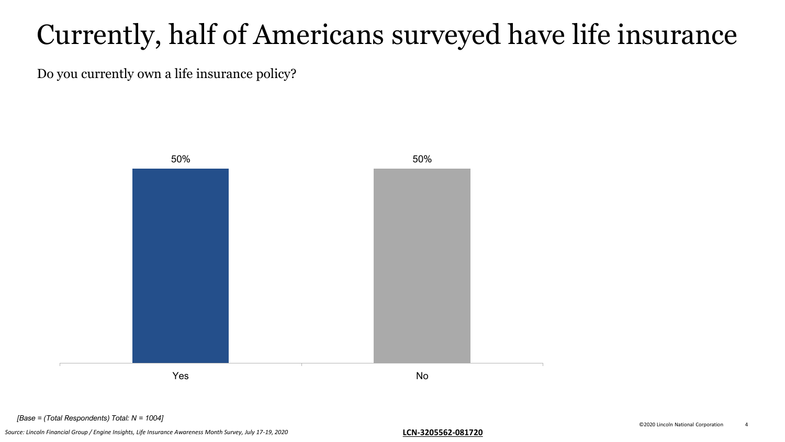### Currently, half of Americans surveyed have life insurance

Do you currently own a life insurance policy?



*[Base = (Total Respondents) Total: N = 1004]*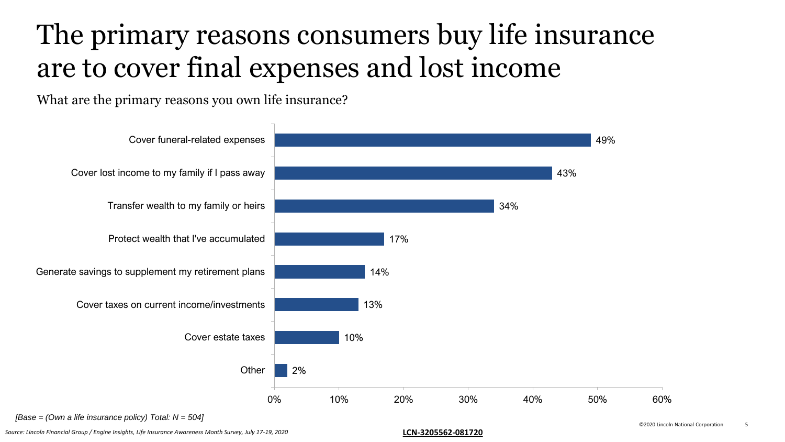### The primary reasons consumers buy life insurance are to cover final expenses and lost income

What are the primary reasons you own life insurance?



*[Base = (Own a life insurance policy) Total: N = 504]*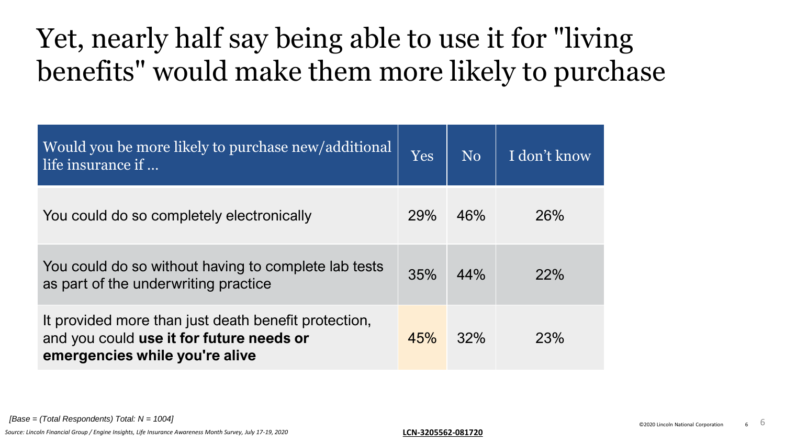### Yet, nearly half say being able to use it for "living benefits" would make them more likely to purchase

| Would you be more likely to purchase new/additional<br>life insurance if                                                           | Yes        | N <sub>0</sub> | I don't know |
|------------------------------------------------------------------------------------------------------------------------------------|------------|----------------|--------------|
| You could do so completely electronically                                                                                          | <b>29%</b> | 46%            | 26%          |
| You could do so without having to complete lab tests<br>as part of the underwriting practice                                       | 35%        | 44%            | 22%          |
| It provided more than just death benefit protection,<br>and you could use it for future needs or<br>emergencies while you're alive | 45%        | 32%            | 23%          |

*[Base = (Total Respondents) Total: N = 1004]* 6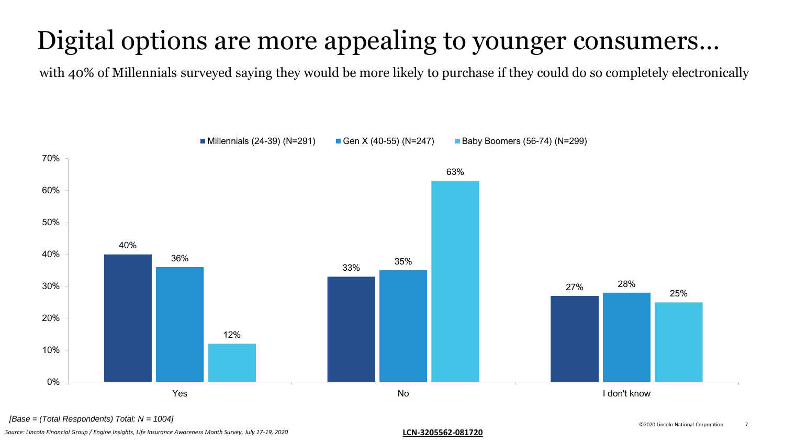### Digital options are more appealing to younger consumers…

with 40% of Millennials surveyed saying they would be more likely to purchase if they could do so completely electronically



*[Base = (Total Respondents) Total: N = 1004]*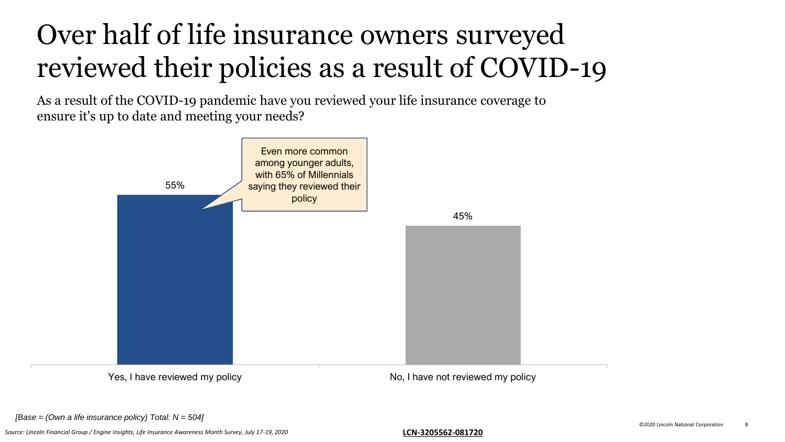# Over half of life insurance owners surveyed reviewed their policies as a result of COVID-19

As a result of the COVID-19 pandemic have you reviewed your life insurance coverage to ensure it's up to date and meeting your needs?



*[Base = (Own a life insurance policy) Total: N = 504]*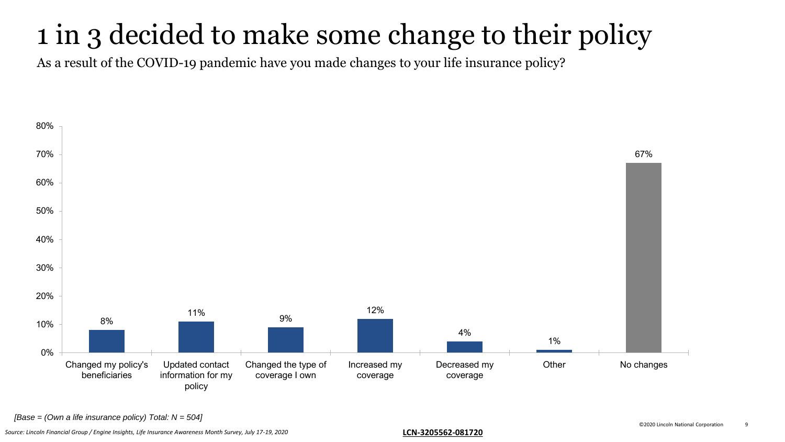### 1 in 3 decided to make some change to their policy

As a result of the COVID-19 pandemic have you made changes to your life insurance policy?



*[Base = (Own a life insurance policy) Total: N = 504]*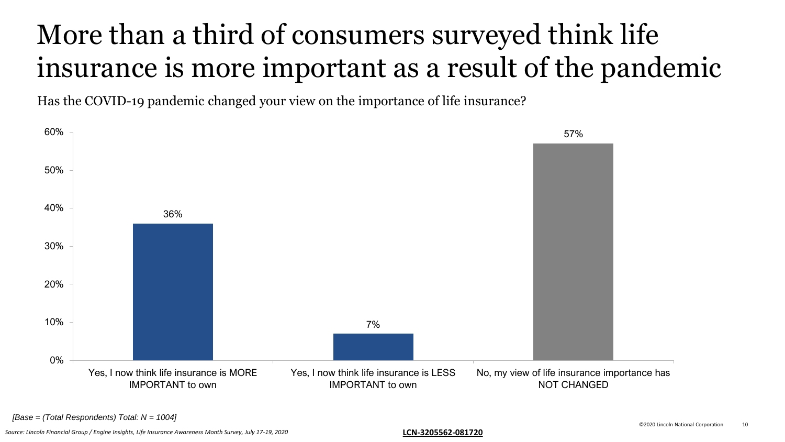# More than a third of consumers surveyed think life insurance is more important as a result of the pandemic

Has the COVID-19 pandemic changed your view on the importance of life insurance?

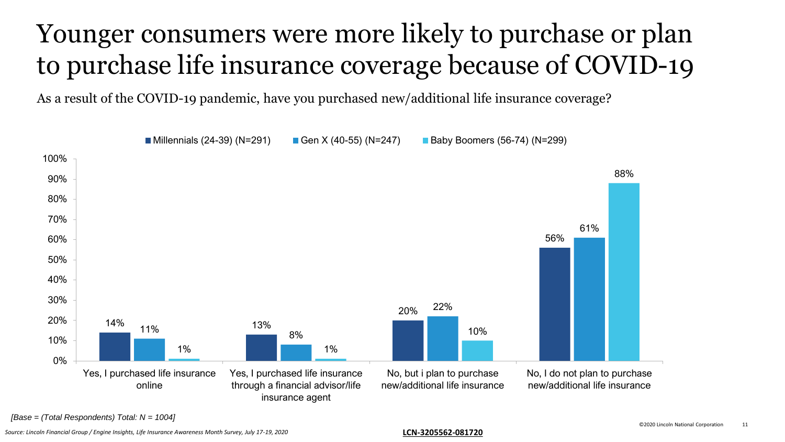### Younger consumers were more likely to purchase or plan to purchase life insurance coverage because of COVID-19

As a result of the COVID-19 pandemic, have you purchased new/additional life insurance coverage?



*[Base = (Total Respondents) Total: N = 1004]*